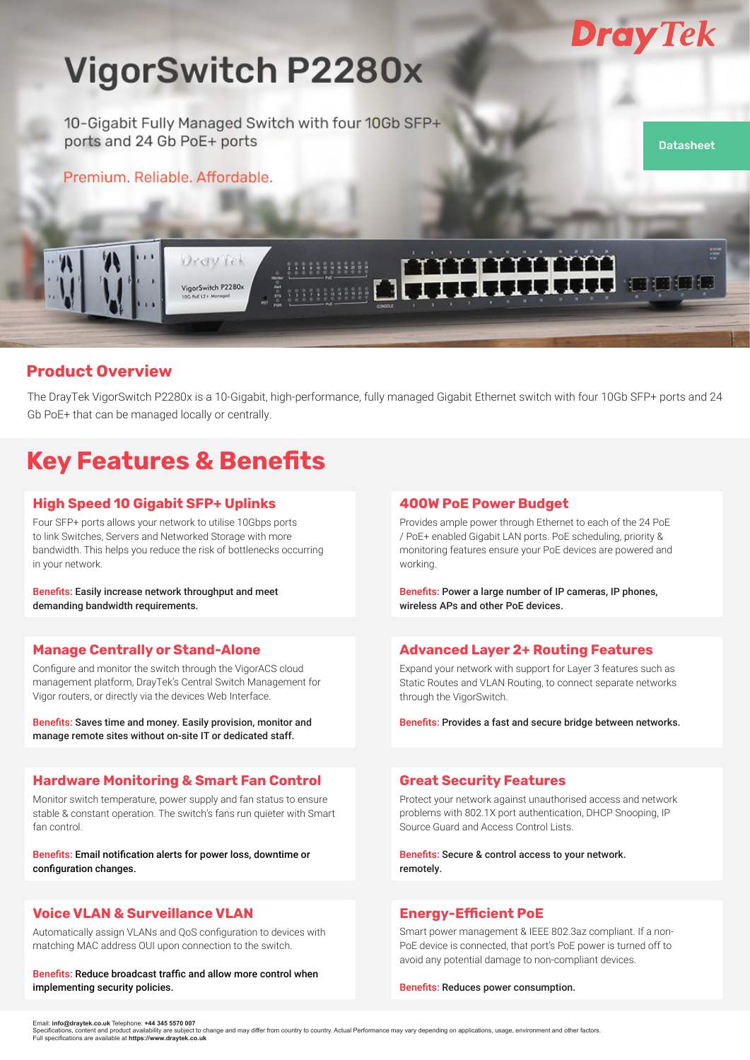

**Datasheet** 

n 101 101 101

# **VigorSwitch P2280x**

10-Gigabit Fully Managed Switch with four 10Gb SFP+ ports and 24 Gb PoE+ ports

Premium, Reliable, Affordable,

DravTek

VigorSwitch P2280x

### **Product Overview**

The DrayTek VigorSwitch P2280x is a 10-Gigabit, high-performance, fully managed Gigabit Ethernet switch with four 10Gb SFP+ ports and 24 Gb PoE+ that can be managed locally or centrally.

### **Key Features & Benefits**

### **High Speed 10 Gigabit SFP+ Uplinks**

Four SFP+ ports allows your network to utilise 10Gbps ports to link Switches, Servers and Networked Storage with more bandwidth. This helps you reduce the risk of bottlenecks occurring in your network.

Benefits: Easily increase network throughput and meet demanding bandwidth requirements.

#### **Manage Centrally or Stand-Alone**

Configure and monitor the switch through the VigorACS cloud management platform, DrayTek's Central Switch Management for Vigor routers, or directly via the devices Web Interface.

Benefits: Saves time and money. Easily provision, monitor and manage remote sites without on-site IT or dedicated staff.

#### **Hardware Monitoring & Smart Fan Control**

Monitor switch temperature, power supply and fan status to ensure stable & constant operation. The switch's fans run quieter with Smart fan control.

Benefits: Email notification alerts for power loss, downtime or configuration changes.

#### **Voice VLAN & Surveillance VLAN**

Automatically assign VLANs and QoS configuration to devices with matching MAC address OUI upon connection to the switch.

Benefits: Reduce broadcast traffic and allow more control when implementing security policies.

#### **400W PoE Power Budget**

 $TT$ 

Provides ample power through Ethernet to each of the 24 PoE / PoE+ enabled Gigabit LAN ports. PoE scheduling, priority & monitoring features ensure your PoE devices are powered and working.

**.......** 

Benefits: Power a large number of IP cameras, IP phones, wireless APs and other PoE devices.

#### **Advanced Layer 2+ Routing Features**

Expand your network with support for Layer 3 features such as Static Routes and VLAN Routing, to connect separate networks through the VigorSwitch.

Benefits: Provides a fast and secure bridge between networks.

#### **Great Security Features**

Protect your network against unauthorised access and network problems with 802.1X port authentication, DHCP Snooping, IP Source Guard and Access Control Lists.

Benefits: Secure & control access to your network. remotely.

#### **Energy-Efficient PoE**

Smart power management & IEEE 802.3az compliant. If a non-PoE device is connected, that port's PoE power is turned off to avoid any potential damage to non-compliant devices.

Benefits: Reduces power consumption.

Email: **info@draytek.co.uk** Telephone: **+44 345 5570 007**

Specifications, content and product availability are subject to change and may differ from country to country. Actual Performance may vary depending on applications, usage, environment and other factors.<br>Full specification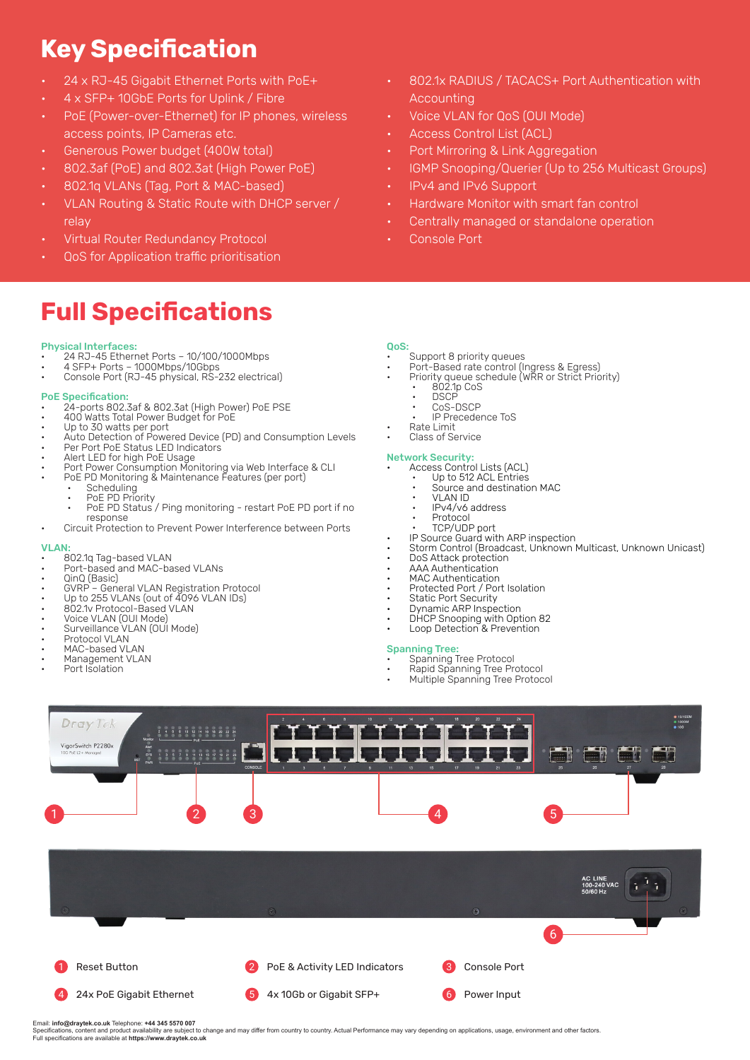## **Key Specification**

- 24 x RJ-45 Gigabit Ethernet Ports with PoE+
- 4 x SFP+ 10GbE Ports for Uplink / Fibre
- PoE (Power-over-Ethernet) for IP phones, wireless access points, IP Cameras etc.
- Generous Power budget (400W total)
- 802.3af (PoE) and 802.3at (High Power PoE)
- 802.1q VLANs (Tag, Port & MAC-based)
- VLAN Routing & Static Route with DHCP server / relay
- Virtual Router Redundancy Protocol
- **QoS** for Application traffic prioritisation

### **Full Specifications**

#### Physical Interfaces:

- 24 RJ-45 Ethernet Ports 10/100/1000Mbps
- 4 SFP+ Ports 1000Mbps/10Gbps • Console Port (RJ-45 physical, RS-232 electrical)
- 
- PoE Specification: • 24-ports 802.3af & 802.3at (High Power) PoE PSE
- 400 Watts Total Power Budget for PoE
- Up to 30 watts per port
- Auto Detection of Powered Device (PD) and Consumption Levels
- Per Port PoE Status LED Indicators
- Alert LED for high PoE Usage
- Port Power Consumption Monitoring via Web Interface & CLI
- PoE PD Monitoring & Maintenance Features (per port) • Scheduling
	- PoE PD Priority • •
	- PoE PD Status / Ping monitoring restart PoE PD port if no response •
	- Circuit Protection to Prevent Power Interference between Ports

#### VLAN:

- 802.1q Tag-based VLAN
- Port-based and MAC-based VLANs
- QinQ (Basic)
- GVRP General VLAN Registration Protocol
- Up to 255 VLANs (out of 4096 VLAN IDs)
- 802.1v Protocol-Based VLAN
- Voice VLAN (OUI Mode)
- Surveillance VLAN (OUI Mode)
- Protocol VLAN
- MAC-based VLAN Management VLAN
- Port Isolation
- 802.1x RADIUS / TACACS+ Port Authentication with Accounting
	- Voice VLAN for QoS (OUI Mode)
	- Access Control List (ACL)
- Port Mirroring & Link Aggregation
- IGMP Snooping/Querier (Up to 256 Multicast Groups)
- IPv4 and IPv6 Support
- Hardware Monitor with smart fan control
- Centrally managed or standalone operation
- Console Port

#### QoS:

- Support 8 priority queues
- Port-Based rate control (Ingress & Egress)
- Priority queue schedule (WRR or Strict Priority)
- 802.1p CoS •
- DSCP • CoS-DSCP •
	- IP Precedence ToS • •
- Rate Limit
	- Class of Service

#### Network Security:

- Access Control Lists (ACL)
	- Up to 512 ACL Entries spression MAC • •
		- VLAN ID
		- IPv4/v6 address • •
	- Protocol •
	- TCP/UDP port •
- IP Source Guard with ARP inspection
- Storm Control (Broadcast, Unknown Multicast, Unknown Unicast)
- DoS Attack protection
- AAA Authentication MAC Authentication
- Protected Port / Port Isolation
- Static Port Security
- Dynamic ARP Inspection
- DHCP Snooping with Option 82
- Loop Detection & Prevention

#### Spanning Tree:

- Spanning Tree Protocol
- Rapid Spanning Tree Protocol
- Multiple Spanning Tree Protocol



Specifications, content and product availability are subject to change and may differ from country to country. Actual Performance may vary depending on applications, usage, environment and other factors.<br>Full specification

Email: **info@draytek.co.uk** Telephone: **+44 345 5570 007**